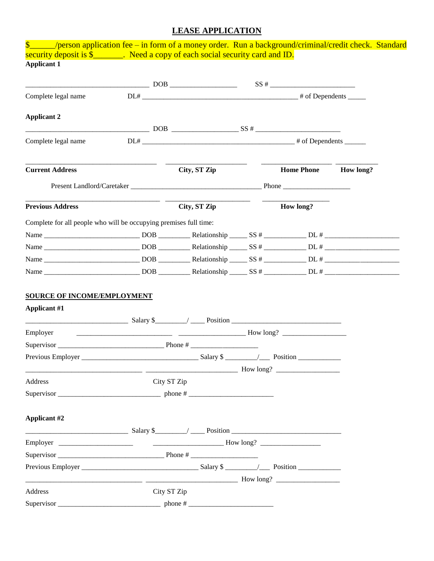## **LEASE APPLICATION**

| \$_____/person application fee – in form of a money order. Run a background/criminal/credit check. Standard |                         |                                      |                   |           |
|-------------------------------------------------------------------------------------------------------------|-------------------------|--------------------------------------|-------------------|-----------|
| security deposit is \$________. Need a copy of each social security card and ID.<br><b>Applicant 1</b>      |                         |                                      |                   |           |
|                                                                                                             |                         |                                      |                   |           |
|                                                                                                             |                         |                                      |                   |           |
| Complete legal name                                                                                         |                         |                                      |                   |           |
|                                                                                                             |                         |                                      |                   |           |
| <b>Applicant 2</b>                                                                                          |                         |                                      |                   |           |
|                                                                                                             |                         |                                      |                   |           |
| Complete legal name                                                                                         |                         |                                      |                   |           |
| <b>Current Address</b>                                                                                      |                         | City, ST Zip                         | <b>Home Phone</b> | How long? |
|                                                                                                             |                         |                                      |                   |           |
|                                                                                                             |                         |                                      |                   |           |
| <b>Previous Address</b>                                                                                     |                         | City, ST Zip                         | How long?         |           |
|                                                                                                             |                         |                                      |                   |           |
| Complete for all people who will be occupying premises full time:                                           |                         |                                      |                   |           |
|                                                                                                             |                         |                                      |                   |           |
|                                                                                                             |                         |                                      |                   |           |
|                                                                                                             |                         |                                      |                   |           |
| <b>SOURCE OF INCOME/EMPLOYMENT</b><br><b>Applicant #1</b>                                                   |                         |                                      |                   |           |
| Employer                                                                                                    | $\frac{1}{2}$ How long? |                                      |                   |           |
|                                                                                                             |                         |                                      |                   |           |
| Previous Employer                                                                                           |                         | $Salary$ \$ $\qquad \qquad$ Position |                   |           |
|                                                                                                             |                         |                                      |                   |           |
| Address                                                                                                     | City ST Zip             |                                      |                   |           |
|                                                                                                             |                         |                                      |                   |           |
|                                                                                                             |                         |                                      |                   |           |
| <b>Applicant #2</b>                                                                                         |                         |                                      |                   |           |
|                                                                                                             |                         |                                      |                   |           |
|                                                                                                             |                         |                                      |                   |           |
|                                                                                                             |                         |                                      |                   |           |
|                                                                                                             |                         |                                      |                   |           |
|                                                                                                             |                         |                                      |                   |           |
| Address                                                                                                     | City ST Zip             |                                      |                   |           |
|                                                                                                             |                         |                                      |                   |           |